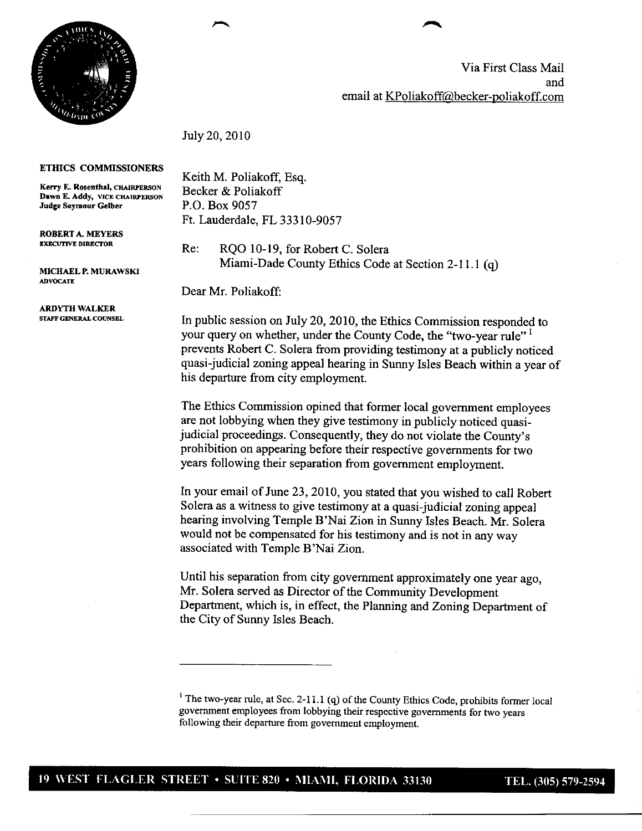

Via First Class Mail and email at KPoliakoff@becker-poliakoff.com

July 20,2010



**Judge Seymour Gelber**

**ROBERTA.** MEYERS EXECUTIVE DIRECTOR

**MICHAEL P.** MURAWSKI **ADVOCATE** 

**ARDYTH WALKER** STAFF GENERAL **COUNSEL**

Keith M. Poliakoff, Esq. Becker & Poliakoff P.O. Box 9057 Ft. Lauderdale, FL 33310-9057

Re: RQO 10-19, for Robert C. Solera Miami-Dade County Ethics Code at Section 2-11.1 (q)

Dear Mr. Poliakoff:

In public session on July 20, 2010, the Ethics Commission responded to your query on whether, under the County Code, the "two-year rule"<sup>1</sup> prevents Robert C. Solera from providing testimony at a publicly noticed quasi-judicial zoning appeal hearing in Sunny Isles Beach within a year of his departure from city employment.

The Ethics Commission opined that former local government employees are not lobbying when they give testimony in publicly noticed quasijudicial proceedings. Consequently, they do not violate the County's prohibition on appearing before their respective governments for two years following their separation from government employment.

In your email of June 23, 2010, you stated that you wished to call Robert Solera as a witness to give testimony at a quasi-judicial zoning appeal hearing involving Temple B'Nai Zion in Sunny Isles Beach. Mr. Solera would not be compensated for his testimony and is not in any way associated with Temple B'Nai Zion.

Until his separation from city government approximately one year ago, Mr. Solera served as Director of the Community Development Department, which is, in effect, the Planning and Zoning Department of the City of Sunny Isles Beach.

<sup>&</sup>lt;sup>1</sup> The two-year rule, at Sec. 2-11.1 (q) of the County Ethics Code, prohibits former local government employees from lobbying their respective governments for two years following their departure from government employment.